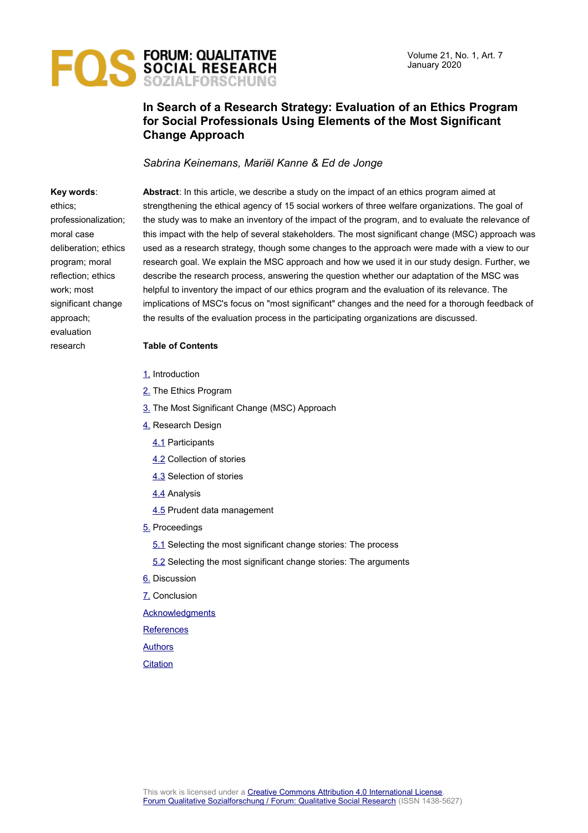

### **In Search of a Research Strategy: Evaluation of an Ethics Program for Social Professionals Using Elements of the Most Significant Change Approach**

*Sabrina Keinemans, Mariӫl Kanne & Ed de Jonge*

#### **Key words**:

ethics; professionalization; moral case deliberation; ethics program; moral reflection; ethics work; most significant change approach; evaluation research

**Abstract**: In this article, we describe a study on the impact of an ethics program aimed at strengthening the ethical agency of 15 social workers of three welfare organizations. The goal of the study was to make an inventory of the impact of the program, and to evaluate the relevance of this impact with the help of several stakeholders. The most significant change (MSC) approach was used as a research strategy, though some changes to the approach were made with a view to our research goal. We explain the MSC approach and how we used it in our study design. Further, we describe the research process, answering the question whether our adaptation of the MSC was helpful to inventory the impact of our ethics program and the evaluation of its relevance. The implications of MSC's focus on "most significant" changes and the need for a thorough feedback of the results of the evaluation process in the participating organizations are discussed.

#### **Table of Contents**

- [1.](#page-1-0) Introduction
- [2.](#page-3-0) The Ethics Program
- [3.](#page-5-0) The Most Significant Change (MSC) Approach
- [4.](#page-7-1) Research Design
	- [4.1](#page-7-0) Participants
	- [4.2](#page-8-1) Collection of stories
	- [4.3](#page-8-0) Selection of stories
	- [4.4](#page-11-0) Analysis
	- [4.5](#page-12-0) Prudent data management
- [5.](#page-13-1) Proceedings
	- [5.1](#page-13-0) Selecting the most significant change stories: The process
	- [5.2](#page-14-0) Selecting the most significant change stories: The arguments
- [6.](#page-19-0) Discussion
- [7.](#page-21-1) Conclusion

**[Acknowledgments](#page-21-0)** 

**[References](#page-22-0)** 

[Authors](#page-24-1)

**[Citation](#page-24-0)**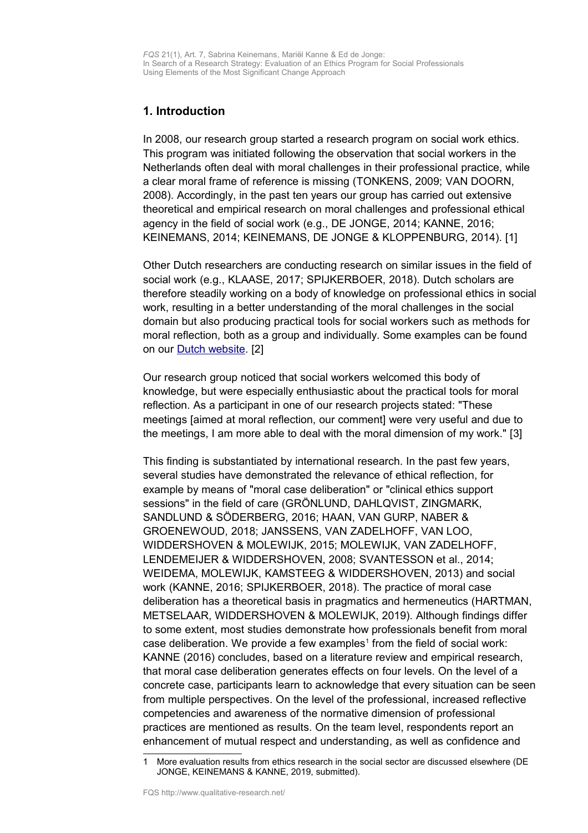*FQS* 21(1), Art. 7, Sabrina Keinemans, Mariӫl Kanne & Ed de Jonge: In Search of a Research Strategy: Evaluation of an Ethics Program for Social Professionals Using Elements of the Most Significant Change Approach

### <span id="page-1-0"></span>**1. Introduction**

In 2008, our research group started a research program on social work ethics. This program was initiated following the observation that social workers in the Netherlands often deal with moral challenges in their professional practice, while a clear moral frame of reference is missing (TONKENS, 2009; VAN DOORN, 2008). Accordingly, in the past ten years our group has carried out extensive theoretical and empirical research on moral challenges and professional ethical agency in the field of social work (e.g., DE JONGE, 2014; KANNE, 2016; KEINEMANS, 2014; KEINEMANS, DE JONGE & KLOPPENBURG, 2014). [1]

Other Dutch researchers are conducting research on similar issues in the field of social work (e.g., KLAASE, 2017; SPIJKERBOER, 2018). Dutch scholars are therefore steadily working on a body of knowledge on professional ethics in social work, resulting in a better understanding of the moral challenges in the social domain but also producing practical tools for social workers such as methods for moral reflection, both as a group and individually. Some examples can be found on our [Dutch website.](http://www.ethiekwerk.hu.nl/) [2]

Our research group noticed that social workers welcomed this body of knowledge, but were especially enthusiastic about the practical tools for moral reflection. As a participant in one of our research projects stated: "These meetings [aimed at moral reflection, our comment] were very useful and due to the meetings, I am more able to deal with the moral dimension of my work." [3]

This finding is substantiated by international research. In the past few years, several studies have demonstrated the relevance of ethical reflection, for example by means of "moral case deliberation" or "clinical ethics support sessions" in the field of care (GRÖNLUND, DAHLQVIST, ZINGMARK, SANDLUND & SÖDERBERG, 2016; HAAN, VAN GURP, NABER & GROENEWOUD, 2018; JANSSENS, VAN ZADELHOFF, VAN LOO, WIDDERSHOVEN & MOLEWIJK, 2015; MOLEWIJK, VAN ZADELHOFF, LENDEMEIJER & WIDDERSHOVEN, 2008; SVANTESSON et al., 2014; WEIDEMA, MOLEWIJK, KAMSTEEG & WIDDERSHOVEN, 2013) and social work (KANNE, 2016; SPIJKERBOER, 2018). The practice of moral case deliberation has a theoretical basis in pragmatics and hermeneutics (HARTMAN, METSELAAR, WIDDERSHOVEN & MOLEWIJK, 2019). Although findings differ to some extent, most studies demonstrate how professionals benefit from moral case deliberation. We provide a few examples<sup>[1](#page-1-1)</sup> from the field of social work: KANNE (2016) concludes, based on a literature review and empirical research, that moral case deliberation generates effects on four levels. On the level of a concrete case, participants learn to acknowledge that every situation can be seen from multiple perspectives. On the level of the professional, increased reflective competencies and awareness of the normative dimension of professional practices are mentioned as results. On the team level, respondents report an enhancement of mutual respect and understanding, as well as confidence and

<span id="page-1-1"></span><sup>1</sup> More evaluation results from ethics research in the social sector are discussed elsewhere (DE JONGE, KEINEMANS & KANNE, 2019, submitted).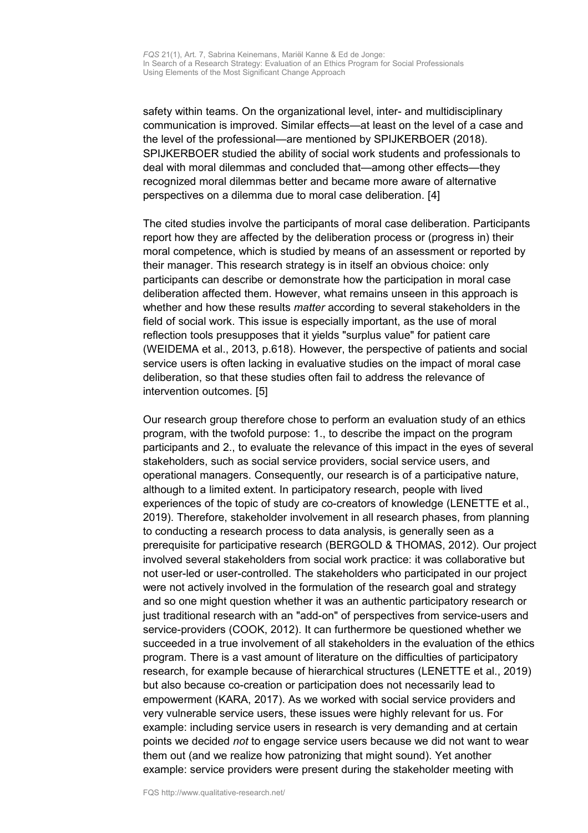safety within teams. On the organizational level, inter- and multidisciplinary communication is improved. Similar effects—at least on the level of a case and the level of the professional—are mentioned by SPIJKERBOER (2018). SPIJKERBOER studied the ability of social work students and professionals to deal with moral dilemmas and concluded that—among other effects—they recognized moral dilemmas better and became more aware of alternative perspectives on a dilemma due to moral case deliberation. [4]

The cited studies involve the participants of moral case deliberation. Participants report how they are affected by the deliberation process or (progress in) their moral competence, which is studied by means of an assessment or reported by their manager. This research strategy is in itself an obvious choice: only participants can describe or demonstrate how the participation in moral case deliberation affected them. However, what remains unseen in this approach is whether and how these results *matter* according to several stakeholders in the field of social work. This issue is especially important, as the use of moral reflection tools presupposes that it yields "surplus value" for patient care (WEIDEMA et al., 2013, p.618). However, the perspective of patients and social service users is often lacking in evaluative studies on the impact of moral case deliberation, so that these studies often fail to address the relevance of intervention outcomes. [5]

Our research group therefore chose to perform an evaluation study of an ethics program, with the twofold purpose: 1., to describe the impact on the program participants and 2., to evaluate the relevance of this impact in the eyes of several stakeholders, such as social service providers, social service users, and operational managers. Consequently, our research is of a participative nature, although to a limited extent. In participatory research, people with lived experiences of the topic of study are co-creators of knowledge (LENETTE et al., 2019). Therefore, stakeholder involvement in all research phases, from planning to conducting a research process to data analysis, is generally seen as a prerequisite for participative research (BERGOLD & THOMAS, 2012). Our project involved several stakeholders from social work practice: it was collaborative but not user-led or user-controlled. The stakeholders who participated in our project were not actively involved in the formulation of the research goal and strategy and so one might question whether it was an authentic participatory research or just traditional research with an "add-on" of perspectives from service-users and service-providers (COOK, 2012). It can furthermore be questioned whether we succeeded in a true involvement of all stakeholders in the evaluation of the ethics program. There is a vast amount of literature on the difficulties of participatory research, for example because of hierarchical structures (LENETTE et al., 2019) but also because co-creation or participation does not necessarily lead to empowerment (KARA, 2017). As we worked with social service providers and very vulnerable service users, these issues were highly relevant for us. For example: including service users in research is very demanding and at certain points we decided *not* to engage service users because we did not want to wear them out (and we realize how patronizing that might sound). Yet another example: service providers were present during the stakeholder meeting with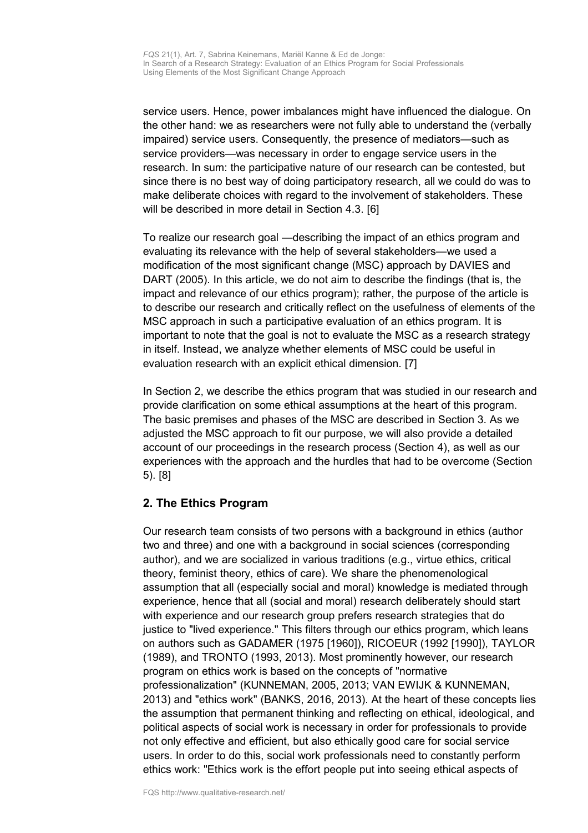service users. Hence, power imbalances might have influenced the dialogue. On the other hand: we as researchers were not fully able to understand the (verbally impaired) service users. Consequently, the presence of mediators—such as service providers—was necessary in order to engage service users in the research. In sum: the participative nature of our research can be contested, but since there is no best way of doing participatory research, all we could do was to make deliberate choices with regard to the involvement of stakeholders. These will be described in more detail in Section 4.3. [6]

To realize our research goal —describing the impact of an ethics program and evaluating its relevance with the help of several stakeholders—we used a modification of the most significant change (MSC) approach by DAVIES and DART (2005). In this article, we do not aim to describe the findings (that is, the impact and relevance of our ethics program); rather, the purpose of the article is to describe our research and critically reflect on the usefulness of elements of the MSC approach in such a participative evaluation of an ethics program. It is important to note that the goal is not to evaluate the MSC as a research strategy in itself. Instead, we analyze whether elements of MSC could be useful in evaluation research with an explicit ethical dimension. [7]

In Section 2, we describe the ethics program that was studied in our research and provide clarification on some ethical assumptions at the heart of this program. The basic premises and phases of the MSC are described in Section 3. As we adjusted the MSC approach to fit our purpose, we will also provide a detailed account of our proceedings in the research process (Section 4), as well as our experiences with the approach and the hurdles that had to be overcome (Section 5). [8]

# <span id="page-3-0"></span>**2. The Ethics Program**

Our research team consists of two persons with a background in ethics (author two and three) and one with a background in social sciences (corresponding author), and we are socialized in various traditions (e.g., virtue ethics, critical theory, feminist theory, ethics of care). We share the phenomenological assumption that all (especially social and moral) knowledge is mediated through experience, hence that all (social and moral) research deliberately should start with experience and our research group prefers research strategies that do justice to "lived experience." This filters through our ethics program, which leans on authors such as GADAMER (1975 [1960]), RICOEUR (1992 [1990]), TAYLOR (1989), and TRONTO (1993, 2013). Most prominently however, our research program on ethics work is based on the concepts of "normative professionalization" (KUNNEMAN, 2005, 2013; VAN EWIJK & KUNNEMAN, 2013) and "ethics work" (BANKS, 2016, 2013). At the heart of these concepts lies the assumption that permanent thinking and reflecting on ethical, ideological, and political aspects of social work is necessary in order for professionals to provide not only effective and efficient, but also ethically good care for social service users. In order to do this, social work professionals need to constantly perform ethics work: "Ethics work is the effort people put into seeing ethical aspects of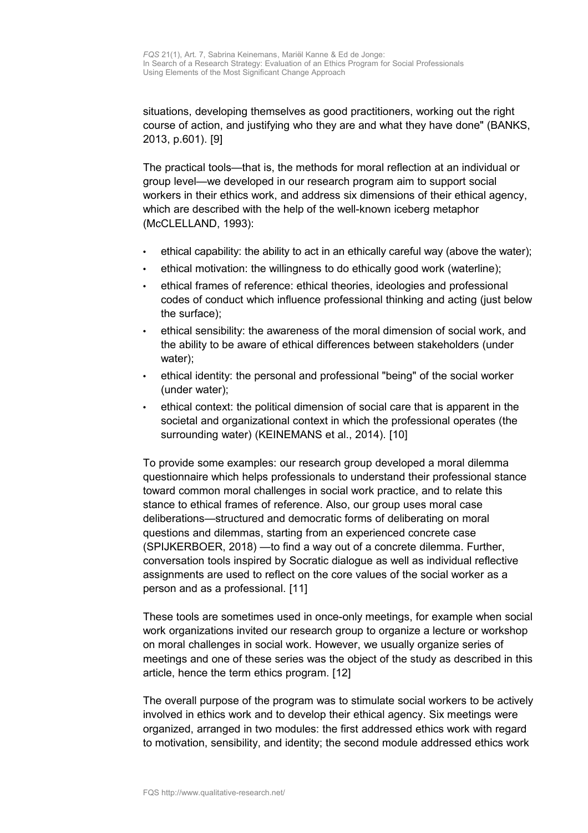situations, developing themselves as good practitioners, working out the right course of action, and justifying who they are and what they have done" (BANKS, 2013, p.601). [9]

The practical tools—that is, the methods for moral reflection at an individual or group level—we developed in our research program aim to support social workers in their ethics work, and address six dimensions of their ethical agency, which are described with the help of the well-known iceberg metaphor (McCLELLAND, 1993):

- ethical capability: the ability to act in an ethically careful way (above the water);
- ethical motivation: the willingness to do ethically good work (waterline);
- ethical frames of reference: ethical theories, ideologies and professional codes of conduct which influence professional thinking and acting (just below the surface);
- ethical sensibility: the awareness of the moral dimension of social work, and the ability to be aware of ethical differences between stakeholders (under water);
- ethical identity: the personal and professional "being" of the social worker (under water);
- ethical context: the political dimension of social care that is apparent in the societal and organizational context in which the professional operates (the surrounding water) (KEINEMANS et al., 2014). [10]

To provide some examples: our research group developed a moral dilemma questionnaire which helps professionals to understand their professional stance toward common moral challenges in social work practice, and to relate this stance to ethical frames of reference. Also, our group uses moral case deliberations—structured and democratic forms of deliberating on moral questions and dilemmas, starting from an experienced concrete case (SPIJKERBOER, 2018) —to find a way out of a concrete dilemma. Further, conversation tools inspired by Socratic dialogue as well as individual reflective assignments are used to reflect on the core values of the social worker as a person and as a professional. [11]

These tools are sometimes used in once-only meetings, for example when social work organizations invited our research group to organize a lecture or workshop on moral challenges in social work. However, we usually organize series of meetings and one of these series was the object of the study as described in this article, hence the term ethics program. [12]

The overall purpose of the program was to stimulate social workers to be actively involved in ethics work and to develop their ethical agency. Six meetings were organized, arranged in two modules: the first addressed ethics work with regard to motivation, sensibility, and identity; the second module addressed ethics work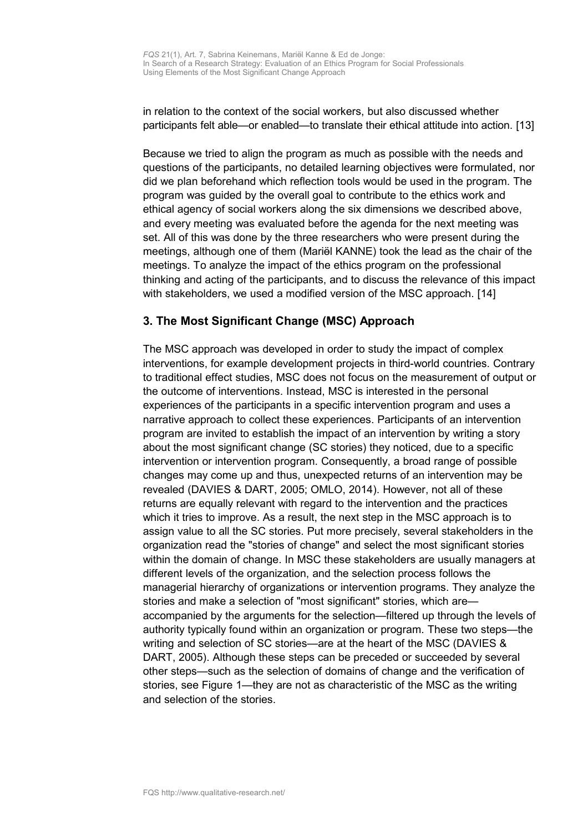in relation to the context of the social workers, but also discussed whether participants felt able—or enabled—to translate their ethical attitude into action. [13]

Because we tried to align the program as much as possible with the needs and questions of the participants, no detailed learning objectives were formulated, nor did we plan beforehand which reflection tools would be used in the program. The program was guided by the overall goal to contribute to the ethics work and ethical agency of social workers along the six dimensions we described above, and every meeting was evaluated before the agenda for the next meeting was set. All of this was done by the three researchers who were present during the meetings, although one of them (Mariël KANNE) took the lead as the chair of the meetings. To analyze the impact of the ethics program on the professional thinking and acting of the participants, and to discuss the relevance of this impact with stakeholders, we used a modified version of the MSC approach. [14]

# <span id="page-5-0"></span>**3. The Most Significant Change (MSC) Approach**

The MSC approach was developed in order to study the impact of complex interventions, for example development projects in third-world countries. Contrary to traditional effect studies, MSC does not focus on the measurement of output or the outcome of interventions. Instead, MSC is interested in the personal experiences of the participants in a specific intervention program and uses a narrative approach to collect these experiences. Participants of an intervention program are invited to establish the impact of an intervention by writing a story about the most significant change (SC stories) they noticed, due to a specific intervention or intervention program. Consequently, a broad range of possible changes may come up and thus, unexpected returns of an intervention may be revealed (DAVIES & DART, 2005; OMLO, 2014). However, not all of these returns are equally relevant with regard to the intervention and the practices which it tries to improve. As a result, the next step in the MSC approach is to assign value to all the SC stories. Put more precisely, several stakeholders in the organization read the "stories of change" and select the most significant stories within the domain of change. In MSC these stakeholders are usually managers at different levels of the organization, and the selection process follows the managerial hierarchy of organizations or intervention programs. They analyze the stories and make a selection of "most significant" stories, which are accompanied by the arguments for the selection—filtered up through the levels of authority typically found within an organization or program. These two steps—the writing and selection of SC stories—are at the heart of the MSC (DAVIES & DART, 2005). Although these steps can be preceded or succeeded by several other steps—such as the selection of domains of change and the verification of stories, see Figure 1—they are not as characteristic of the MSC as the writing and selection of the stories.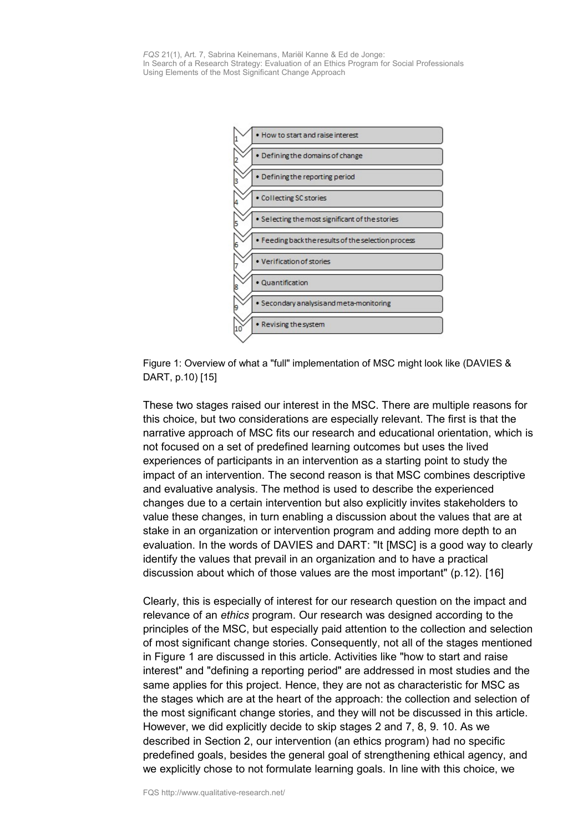*FQS* 21(1), Art. 7, Sabrina Keinemans, Mariӫl Kanne & Ed de Jonge: In Search of a Research Strategy: Evaluation of an Ethics Program for Social Professionals Using Elements of the Most Significant Change Approach



Figure 1: Overview of what a "full" implementation of MSC might look like (DAVIES & DART, p.10) [15]

These two stages raised our interest in the MSC. There are multiple reasons for this choice, but two considerations are especially relevant. The first is that the narrative approach of MSC fits our research and educational orientation, which is not focused on a set of predefined learning outcomes but uses the lived experiences of participants in an intervention as a starting point to study the impact of an intervention. The second reason is that MSC combines descriptive and evaluative analysis. The method is used to describe the experienced changes due to a certain intervention but also explicitly invites stakeholders to value these changes, in turn enabling a discussion about the values that are at stake in an organization or intervention program and adding more depth to an evaluation. In the words of DAVIES and DART: "It [MSC] is a good way to clearly identify the values that prevail in an organization and to have a practical discussion about which of those values are the most important" (p.12). [16]

Clearly, this is especially of interest for our research question on the impact and relevance of an *ethics* program. Our research was designed according to the principles of the MSC, but especially paid attention to the collection and selection of most significant change stories. Consequently, not all of the stages mentioned in Figure 1 are discussed in this article. Activities like "how to start and raise interest" and "defining a reporting period" are addressed in most studies and the same applies for this project. Hence, they are not as characteristic for MSC as the stages which are at the heart of the approach: the collection and selection of the most significant change stories, and they will not be discussed in this article. However, we did explicitly decide to skip stages 2 and 7, 8, 9. 10. As we described in Section 2, our intervention (an ethics program) had no specific predefined goals, besides the general goal of strengthening ethical agency, and we explicitly chose to not formulate learning goals. In line with this choice, we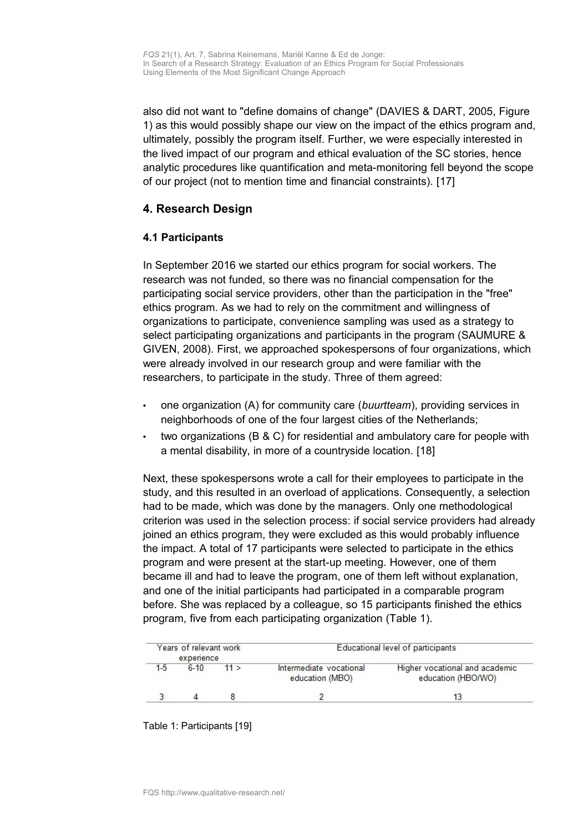also did not want to "define domains of change" (DAVIES & DART, 2005, Figure 1) as this would possibly shape our view on the impact of the ethics program and, ultimately, possibly the program itself. Further, we were especially interested in the lived impact of our program and ethical evaluation of the SC stories, hence analytic procedures like quantification and meta-monitoring fell beyond the scope of our project (not to mention time and financial constraints). [17]

### <span id="page-7-1"></span>**4. Research Design**

### <span id="page-7-0"></span>**4.1 Participants**

In September 2016 we started our ethics program for social workers. The research was not funded, so there was no financial compensation for the participating social service providers, other than the participation in the "free" ethics program. As we had to rely on the commitment and willingness of organizations to participate, convenience sampling was used as a strategy to select participating organizations and participants in the program (SAUMURE & GIVEN, 2008). First, we approached spokespersons of four organizations, which were already involved in our research group and were familiar with the researchers, to participate in the study. Three of them agreed:

- one organization (A) for community care (*buurtteam*), providing services in neighborhoods of one of the four largest cities of the Netherlands;
- two organizations (B & C) for residential and ambulatory care for people with a mental disability, in more of a countryside location. [18]

Next, these spokespersons wrote a call for their employees to participate in the study, and this resulted in an overload of applications. Consequently, a selection had to be made, which was done by the managers. Only one methodological criterion was used in the selection process: if social service providers had already joined an ethics program, they were excluded as this would probably influence the impact. A total of 17 participants were selected to participate in the ethics program and were present at the start-up meeting. However, one of them became ill and had to leave the program, one of them left without explanation, and one of the initial participants had participated in a comparable program before. She was replaced by a colleague, so 15 participants finished the ethics program, five from each participating organization (Table 1).

| Years of relevant work<br>experience |          |      | Educational level of participants          |                                                      |  |
|--------------------------------------|----------|------|--------------------------------------------|------------------------------------------------------|--|
| $1 - 5$                              | $6 - 10$ | 11 > | Intermediate vocational<br>education (MBO) | Higher vocational and academic<br>education (HBO/WO) |  |
|                                      |          |      |                                            | 13                                                   |  |

#### Table 1: Participants [19]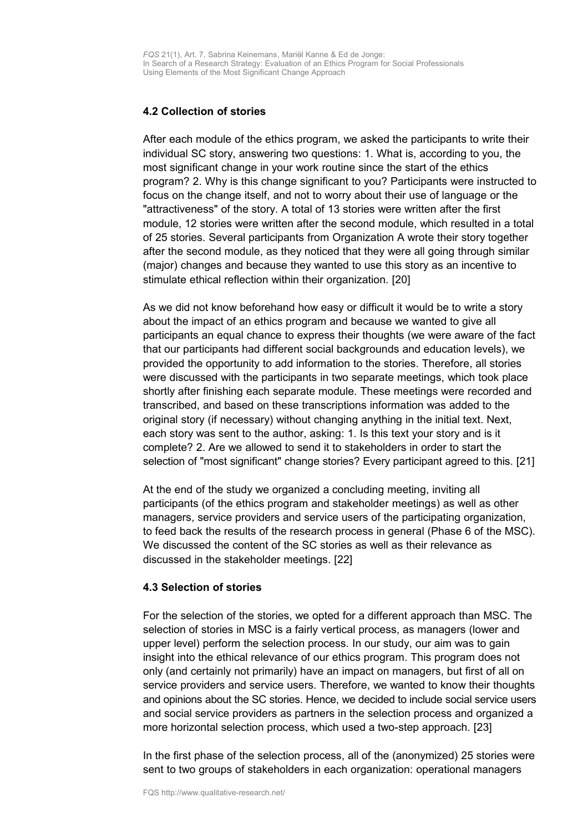### <span id="page-8-1"></span>**4.2 Collection of stories**

After each module of the ethics program, we asked the participants to write their individual SC story, answering two questions: 1. What is, according to you, the most significant change in your work routine since the start of the ethics program? 2. Why is this change significant to you? Participants were instructed to focus on the change itself, and not to worry about their use of language or the "attractiveness" of the story. A total of 13 stories were written after the first module, 12 stories were written after the second module, which resulted in a total of 25 stories. Several participants from Organization A wrote their story together after the second module, as they noticed that they were all going through similar (major) changes and because they wanted to use this story as an incentive to stimulate ethical reflection within their organization. [20]

As we did not know beforehand how easy or difficult it would be to write a story about the impact of an ethics program and because we wanted to give all participants an equal chance to express their thoughts (we were aware of the fact that our participants had different social backgrounds and education levels), we provided the opportunity to add information to the stories. Therefore, all stories were discussed with the participants in two separate meetings, which took place shortly after finishing each separate module. These meetings were recorded and transcribed, and based on these transcriptions information was added to the original story (if necessary) without changing anything in the initial text. Next, each story was sent to the author, asking: 1. Is this text your story and is it complete? 2. Are we allowed to send it to stakeholders in order to start the selection of "most significant" change stories? Every participant agreed to this. [21]

At the end of the study we organized a concluding meeting, inviting all participants (of the ethics program and stakeholder meetings) as well as other managers, service providers and service users of the participating organization, to feed back the results of the research process in general (Phase 6 of the MSC). We discussed the content of the SC stories as well as their relevance as discussed in the stakeholder meetings. [22]

#### <span id="page-8-0"></span>**4.3 Selection of stories**

For the selection of the stories, we opted for a different approach than MSC. The selection of stories in MSC is a fairly vertical process, as managers (lower and upper level) perform the selection process. In our study, our aim was to gain insight into the ethical relevance of our ethics program. This program does not only (and certainly not primarily) have an impact on managers, but first of all on service providers and service users. Therefore, we wanted to know their thoughts and opinions about the SC stories. Hence, we decided to include social service users and social service providers as partners in the selection process and organized a more horizontal selection process, which used a two-step approach. [23]

In the first phase of the selection process, all of the (anonymized) 25 stories were sent to two groups of stakeholders in each organization: operational managers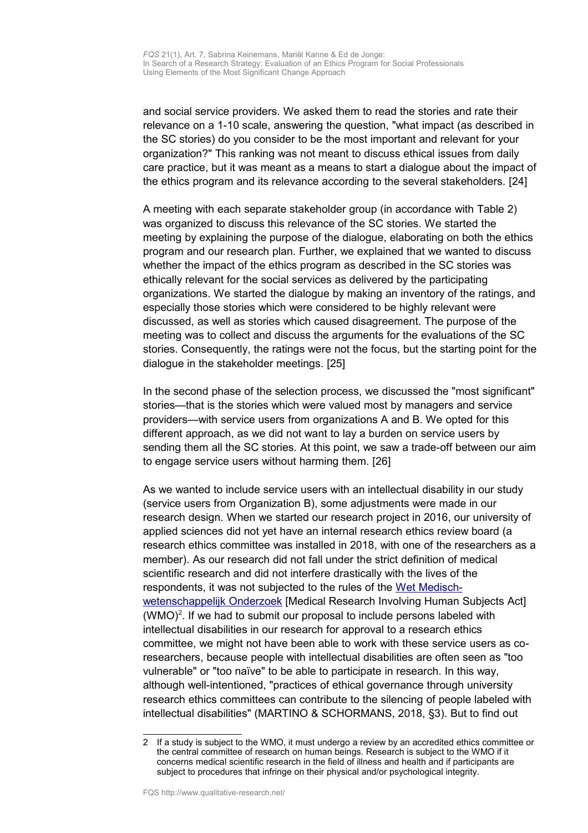and social service providers. We asked them to read the stories and rate their relevance on a 1-10 scale, answering the question, "what impact (as described in the SC stories) do you consider to be the most important and relevant for your organization?" This ranking was not meant to discuss ethical issues from daily care practice, but it was meant as a means to start a dialogue about the impact of the ethics program and its relevance according to the several stakeholders. [24]

A meeting with each separate stakeholder group (in accordance with Table 2) was organized to discuss this relevance of the SC stories. We started the meeting by explaining the purpose of the dialogue, elaborating on both the ethics program and our research plan. Further, we explained that we wanted to discuss whether the impact of the ethics program as described in the SC stories was ethically relevant for the social services as delivered by the participating organizations. We started the dialogue by making an inventory of the ratings, and especially those stories which were considered to be highly relevant were discussed, as well as stories which caused disagreement. The purpose of the meeting was to collect and discuss the arguments for the evaluations of the SC stories. Consequently, the ratings were not the focus, but the starting point for the dialogue in the stakeholder meetings. [25]

In the second phase of the selection process, we discussed the "most significant" stories—that is the stories which were valued most by managers and service providers—with service users from organizations A and B. We opted for this different approach, as we did not want to lay a burden on service users by sending them all the SC stories. At this point, we saw a trade-off between our aim to engage service users without harming them. [26]

As we wanted to include service users with an intellectual disability in our study (service users from Organization B), some adjustments were made in our research design. When we started our research project in 2016, our university of applied sciences did not yet have an internal research ethics review board (a research ethics committee was installed in 2018, with one of the researchers as a member). As our research did not fall under the strict definition of medical scientific research and did not interfere drastically with the lives of the respondents, it was not subjected to the rules of the [Wet Medisch](https://wetten.overheid.nl/BWBR0009408/2019-04-02)[wetenschappelijk Onderzoek](https://wetten.overheid.nl/BWBR0009408/2019-04-02) [Medical Research Involving Human Subjects Act] (WMO)<sup>[2](#page-9-0)</sup>. If we had to submit our proposal to include persons labeled with intellectual disabilities in our research for approval to a research ethics committee, we might not have been able to work with these service users as coresearchers, because people with intellectual disabilities are often seen as "too vulnerable" or "too naïve" to be able to participate in research. In this way, although well-intentioned, "practices of ethical governance through university research ethics committees can contribute to the silencing of people labeled with intellectual disabilities" (MARTINO & SCHORMANS, 2018, §3). But to find out

<span id="page-9-0"></span><sup>2</sup> If a study is subject to the WMO, it must undergo a review by an accredited ethics committee or the central committee of research on human beings. Research is subject to the WMO if it concerns medical scientific research in the field of illness and health and if participants are subject to procedures that infringe on their physical and/or psychological integrity.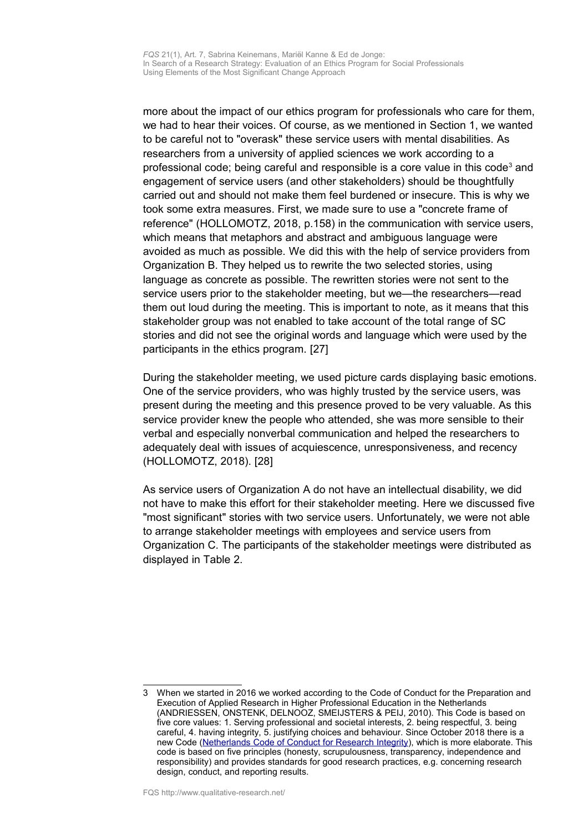more about the impact of our ethics program for professionals who care for them, we had to hear their voices. Of course, as we mentioned in Section 1, we wanted to be careful not to "overask" these service users with mental disabilities. As researchers from a university of applied sciences we work according to a professional code; being careful and responsible is a core value in this code<sup>[3](#page-10-0)</sup> and engagement of service users (and other stakeholders) should be thoughtfully carried out and should not make them feel burdened or insecure. This is why we took some extra measures. First, we made sure to use a "concrete frame of reference" (HOLLOMOTZ, 2018, p.158) in the communication with service users, which means that metaphors and abstract and ambiguous language were avoided as much as possible. We did this with the help of service providers from Organization B. They helped us to rewrite the two selected stories, using language as concrete as possible. The rewritten stories were not sent to the service users prior to the stakeholder meeting, but we—the researchers—read them out loud during the meeting. This is important to note, as it means that this stakeholder group was not enabled to take account of the total range of SC stories and did not see the original words and language which were used by the participants in the ethics program. [27]

During the stakeholder meeting, we used picture cards displaying basic emotions. One of the service providers, who was highly trusted by the service users, was present during the meeting and this presence proved to be very valuable. As this service provider knew the people who attended, she was more sensible to their verbal and especially nonverbal communication and helped the researchers to adequately deal with issues of acquiescence, unresponsiveness, and recency (HOLLOMOTZ, 2018). [28]

As service users of Organization A do not have an intellectual disability, we did not have to make this effort for their stakeholder meeting. Here we discussed five "most significant" stories with two service users. Unfortunately, we were not able to arrange stakeholder meetings with employees and service users from Organization C. The participants of the stakeholder meetings were distributed as displayed in Table 2.

<span id="page-10-0"></span><sup>3</sup> When we started in 2016 we worked according to the Code of Conduct for the Preparation and Execution of Applied Research in Higher Professional Education in the Netherlands (ANDRIESSEN, ONSTENK, DELNOOZ, SMEIJSTERS & PEIJ, 2010). This Code is based on five core values: 1. Serving professional and societal interests, 2. being respectful, 3. being careful, 4. having integrity, 5. justifying choices and behaviour. Since October 2018 there is a new Code [\(Netherlands Code of Conduct for Research Integrity\)](https://doi.org/10.17026/dans-2cj-nvwu), which is more elaborate. This code is based on five principles (honesty, scrupulousness, transparency, independence and responsibility) and provides standards for good research practices, e.g. concerning research design, conduct, and reporting results.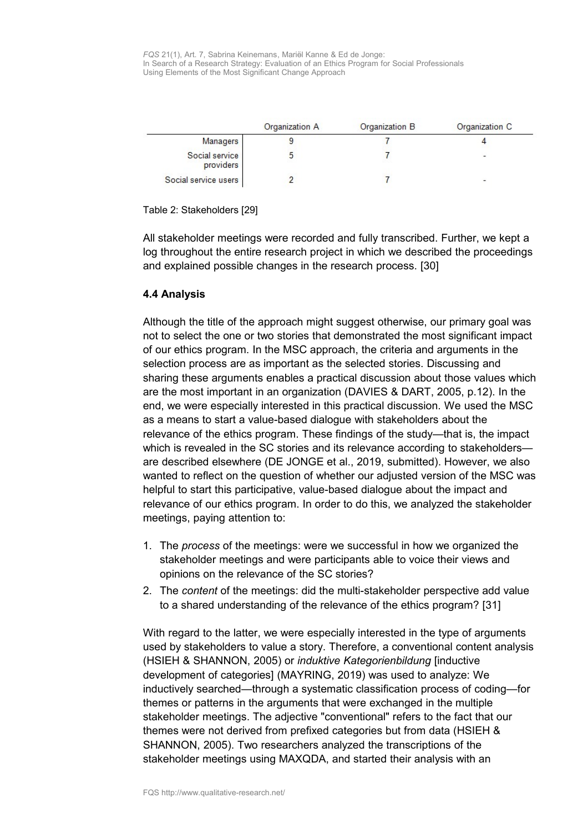|                             | Organization A | Organization B | Organization C |
|-----------------------------|----------------|----------------|----------------|
|                             |                |                |                |
| <b>Managers</b>             |                |                |                |
| Social service<br>providers |                |                |                |
| Social service users        |                |                |                |

Table 2: Stakeholders [29]

All stakeholder meetings were recorded and fully transcribed. Further, we kept a log throughout the entire research project in which we described the proceedings and explained possible changes in the research process. [30]

### <span id="page-11-0"></span>**4.4 Analysis**

Although the title of the approach might suggest otherwise, our primary goal was not to select the one or two stories that demonstrated the most significant impact of our ethics program. In the MSC approach, the criteria and arguments in the selection process are as important as the selected stories. Discussing and sharing these arguments enables a practical discussion about those values which are the most important in an organization (DAVIES & DART, 2005, p.12). In the end, we were especially interested in this practical discussion. We used the MSC as a means to start a value-based dialogue with stakeholders about the relevance of the ethics program. These findings of the study—that is, the impact which is revealed in the SC stories and its relevance according to stakeholdersare described elsewhere (DE JONGE et al., 2019, submitted). However, we also wanted to reflect on the question of whether our adjusted version of the MSC was helpful to start this participative, value-based dialogue about the impact and relevance of our ethics program. In order to do this, we analyzed the stakeholder meetings, paying attention to:

- 1. The *process* of the meetings: were we successful in how we organized the stakeholder meetings and were participants able to voice their views and opinions on the relevance of the SC stories?
- 2. The *content* of the meetings: did the multi-stakeholder perspective add value to a shared understanding of the relevance of the ethics program? [31]

With regard to the latter, we were especially interested in the type of arguments used by stakeholders to value a story. Therefore, a conventional content analysis (HSIEH & SHANNON, 2005) or *induktive Kategorienbildung* [inductive development of categories] (MAYRING, 2019) was used to analyze: We inductively searched—through a systematic classification process of coding—for themes or patterns in the arguments that were exchanged in the multiple stakeholder meetings. The adjective "conventional" refers to the fact that our themes were not derived from prefixed categories but from data (HSIEH & SHANNON, 2005). Two researchers analyzed the transcriptions of the stakeholder meetings using MAXQDA, and started their analysis with an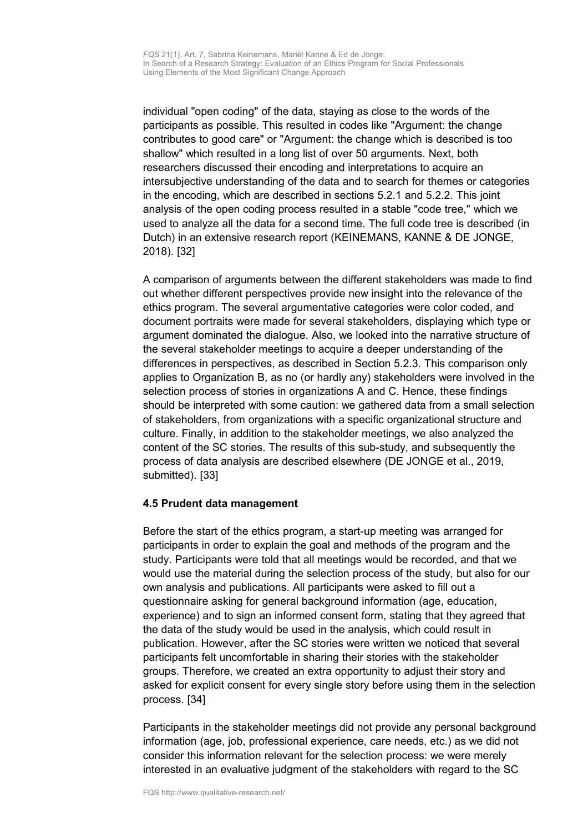individual "open coding" of the data, staying as close to the words of the participants as possible. This resulted in codes like "Argument: the change contributes to good care" or "Argument: the change which is described is too shallow" which resulted in a long list of over 50 arguments. Next, both researchers discussed their encoding and interpretations to acquire an intersubjective understanding of the data and to search for themes or categories in the encoding, which are described in sections 5.2.1 and 5.2.2. This joint analysis of the open coding process resulted in a stable "code tree," which we used to analyze all the data for a second time. The full code tree is described (in Dutch) in an extensive research report (KEINEMANS, KANNE & DE JONGE, 2018). [32]

A comparison of arguments between the different stakeholders was made to find out whether different perspectives provide new insight into the relevance of the ethics program. The several argumentative categories were color coded, and document portraits were made for several stakeholders, displaying which type or argument dominated the dialogue. Also, we looked into the narrative structure of the several stakeholder meetings to acquire a deeper understanding of the differences in perspectives, as described in Section 5.2.3. This comparison only applies to Organization B, as no (or hardly any) stakeholders were involved in the selection process of stories in organizations A and C. Hence, these findings should be interpreted with some caution: we gathered data from a small selection of stakeholders, from organizations with a specific organizational structure and culture. Finally, in addition to the stakeholder meetings, we also analyzed the content of the SC stories. The results of this sub-study, and subsequently the process of data analysis are described elsewhere (DE JONGE et al., 2019, submitted). [33]

### <span id="page-12-0"></span>**4.5 Prudent data management**

Before the start of the ethics program, a start-up meeting was arranged for participants in order to explain the goal and methods of the program and the study. Participants were told that all meetings would be recorded, and that we would use the material during the selection process of the study, but also for our own analysis and publications. All participants were asked to fill out a questionnaire asking for general background information (age, education, experience) and to sign an informed consent form, stating that they agreed that the data of the study would be used in the analysis, which could result in publication. However, after the SC stories were written we noticed that several participants felt uncomfortable in sharing their stories with the stakeholder groups. Therefore, we created an extra opportunity to adjust their story and asked for explicit consent for every single story before using them in the selection process. [34]

Participants in the stakeholder meetings did not provide any personal background information (age, job, professional experience, care needs, etc.) as we did not consider this information relevant for the selection process: we were merely interested in an evaluative judgment of the stakeholders with regard to the SC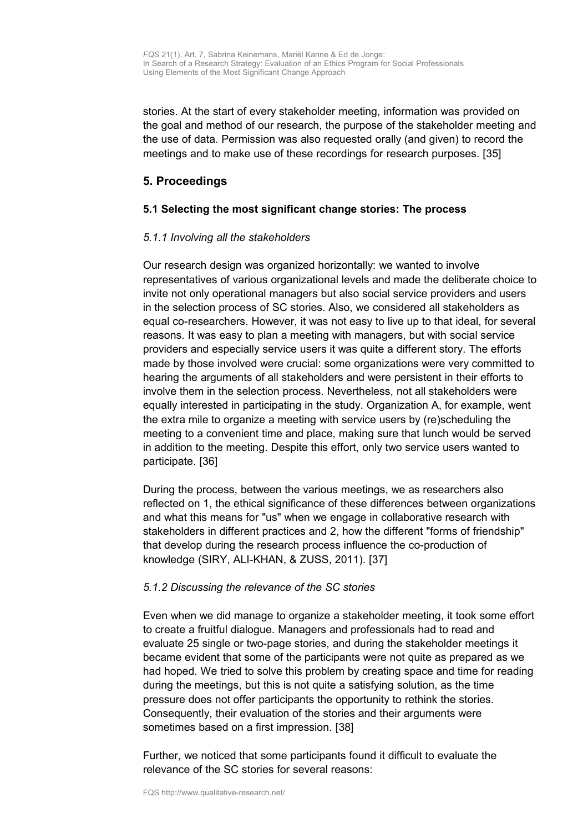stories. At the start of every stakeholder meeting, information was provided on the goal and method of our research, the purpose of the stakeholder meeting and the use of data. Permission was also requested orally (and given) to record the meetings and to make use of these recordings for research purposes. [35]

### <span id="page-13-1"></span>**5. Proceedings**

### <span id="page-13-0"></span>**5.1 Selecting the most significant change stories: The process**

### *5.1.1 Involving all the stakeholders*

Our research design was organized horizontally: we wanted to involve representatives of various organizational levels and made the deliberate choice to invite not only operational managers but also social service providers and users in the selection process of SC stories. Also, we considered all stakeholders as equal co-researchers. However, it was not easy to live up to that ideal, for several reasons. It was easy to plan a meeting with managers, but with social service providers and especially service users it was quite a different story. The efforts made by those involved were crucial: some organizations were very committed to hearing the arguments of all stakeholders and were persistent in their efforts to involve them in the selection process. Nevertheless, not all stakeholders were equally interested in participating in the study. Organization A, for example, went the extra mile to organize a meeting with service users by (re)scheduling the meeting to a convenient time and place, making sure that lunch would be served in addition to the meeting. Despite this effort, only two service users wanted to participate. [36]

During the process, between the various meetings, we as researchers also reflected on 1, the ethical significance of these differences between organizations and what this means for "us" when we engage in collaborative research with stakeholders in different practices and 2, how the different "forms of friendship" that develop during the research process influence the co-production of knowledge (SIRY, ALI-KHAN, & ZUSS, 2011). [37]

### *5.1.2 Discussing the relevance of the SC stories*

Even when we did manage to organize a stakeholder meeting, it took some effort to create a fruitful dialogue. Managers and professionals had to read and evaluate 25 single or two-page stories, and during the stakeholder meetings it became evident that some of the participants were not quite as prepared as we had hoped. We tried to solve this problem by creating space and time for reading during the meetings, but this is not quite a satisfying solution, as the time pressure does not offer participants the opportunity to rethink the stories. Consequently, their evaluation of the stories and their arguments were sometimes based on a first impression. [38]

Further, we noticed that some participants found it difficult to evaluate the relevance of the SC stories for several reasons: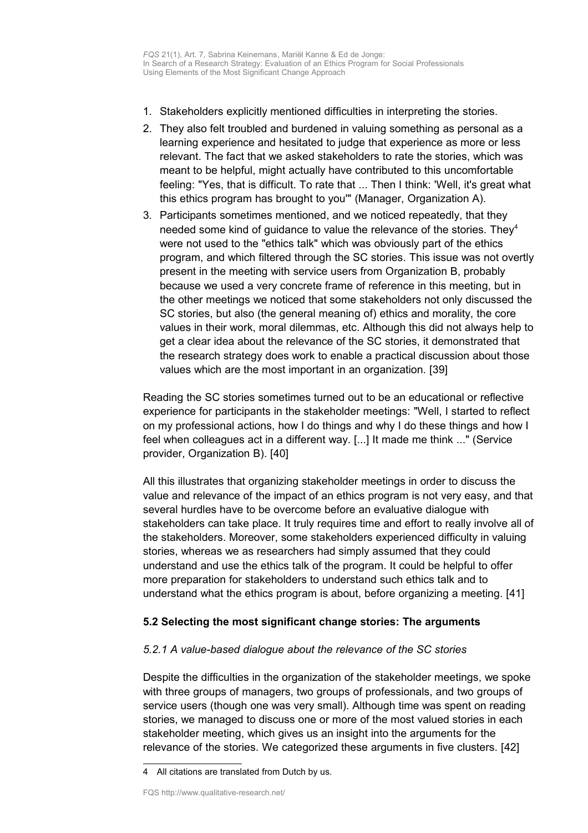- 1. Stakeholders explicitly mentioned difficulties in interpreting the stories.
- 2. They also felt troubled and burdened in valuing something as personal as a learning experience and hesitated to judge that experience as more or less relevant. The fact that we asked stakeholders to rate the stories, which was meant to be helpful, might actually have contributed to this uncomfortable feeling: "Yes, that is difficult. To rate that ... Then I think: 'Well, it's great what this ethics program has brought to you'" (Manager, Organization A).
- 3. Participants sometimes mentioned, and we noticed repeatedly, that they needed some kind of guidance to value the relevance of the stories. They [4](#page-14-1) were not used to the "ethics talk" which was obviously part of the ethics program, and which filtered through the SC stories. This issue was not overtly present in the meeting with service users from Organization B, probably because we used a very concrete frame of reference in this meeting, but in the other meetings we noticed that some stakeholders not only discussed the SC stories, but also (the general meaning of) ethics and morality, the core values in their work, moral dilemmas, etc. Although this did not always help to get a clear idea about the relevance of the SC stories, it demonstrated that the research strategy does work to enable a practical discussion about those values which are the most important in an organization. [39]

Reading the SC stories sometimes turned out to be an educational or reflective experience for participants in the stakeholder meetings: "Well, I started to reflect on my professional actions, how I do things and why I do these things and how I feel when colleagues act in a different way. [...] It made me think ..." (Service provider, Organization B). [40]

All this illustrates that organizing stakeholder meetings in order to discuss the value and relevance of the impact of an ethics program is not very easy, and that several hurdles have to be overcome before an evaluative dialogue with stakeholders can take place. It truly requires time and effort to really involve all of the stakeholders. Moreover, some stakeholders experienced difficulty in valuing stories, whereas we as researchers had simply assumed that they could understand and use the ethics talk of the program. It could be helpful to offer more preparation for stakeholders to understand such ethics talk and to understand what the ethics program is about, before organizing a meeting. [41]

### <span id="page-14-0"></span>**5.2 Selecting the most significant change stories: The arguments**

#### *5.2.1 A value-based dialogue about the relevance of the SC stories*

Despite the difficulties in the organization of the stakeholder meetings, we spoke with three groups of managers, two groups of professionals, and two groups of service users (though one was very small). Although time was spent on reading stories, we managed to discuss one or more of the most valued stories in each stakeholder meeting, which gives us an insight into the arguments for the relevance of the stories. We categorized these arguments in five clusters. [42]

<span id="page-14-1"></span><sup>4</sup> All citations are translated from Dutch by us.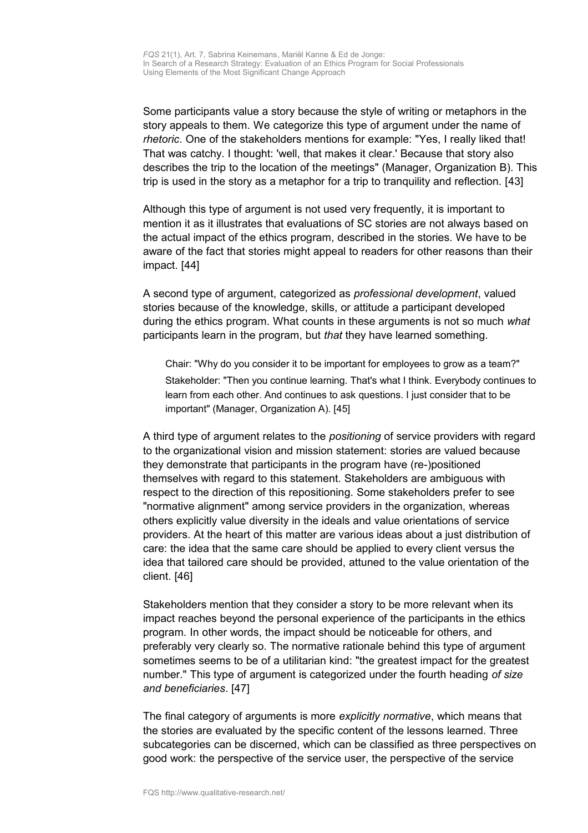Some participants value a story because the style of writing or metaphors in the story appeals to them. We categorize this type of argument under the name of *rhetoric*. One of the stakeholders mentions for example: "Yes, I really liked that! That was catchy. I thought: 'well, that makes it clear.' Because that story also describes the trip to the location of the meetings" (Manager, Organization B). This trip is used in the story as a metaphor for a trip to tranquility and reflection. [43]

Although this type of argument is not used very frequently, it is important to mention it as it illustrates that evaluations of SC stories are not always based on the actual impact of the ethics program, described in the stories. We have to be aware of the fact that stories might appeal to readers for other reasons than their impact. [44]

A second type of argument, categorized as *professional development*, valued stories because of the knowledge, skills, or attitude a participant developed during the ethics program. What counts in these arguments is not so much *what* participants learn in the program, but *that* they have learned something.

Chair: "Why do you consider it to be important for employees to grow as a team?" Stakeholder: "Then you continue learning. That's what I think. Everybody continues to learn from each other. And continues to ask questions. I just consider that to be important" (Manager, Organization A). [45]

A third type of argument relates to the *positioning* of service providers with regard to the organizational vision and mission statement: stories are valued because they demonstrate that participants in the program have (re-)positioned themselves with regard to this statement. Stakeholders are ambiguous with respect to the direction of this repositioning. Some stakeholders prefer to see "normative alignment" among service providers in the organization, whereas others explicitly value diversity in the ideals and value orientations of service providers. At the heart of this matter are various ideas about a just distribution of care: the idea that the same care should be applied to every client versus the idea that tailored care should be provided, attuned to the value orientation of the client. [46]

Stakeholders mention that they consider a story to be more relevant when its impact reaches beyond the personal experience of the participants in the ethics program. In other words, the impact should be noticeable for others, and preferably very clearly so. The normative rationale behind this type of argument sometimes seems to be of a utilitarian kind: "the greatest impact for the greatest number." This type of argument is categorized under the fourth heading *of size and beneficiaries*. [47]

The final category of arguments is more *explicitly normative*, which means that the stories are evaluated by the specific content of the lessons learned. Three subcategories can be discerned, which can be classified as three perspectives on good work: the perspective of the service user, the perspective of the service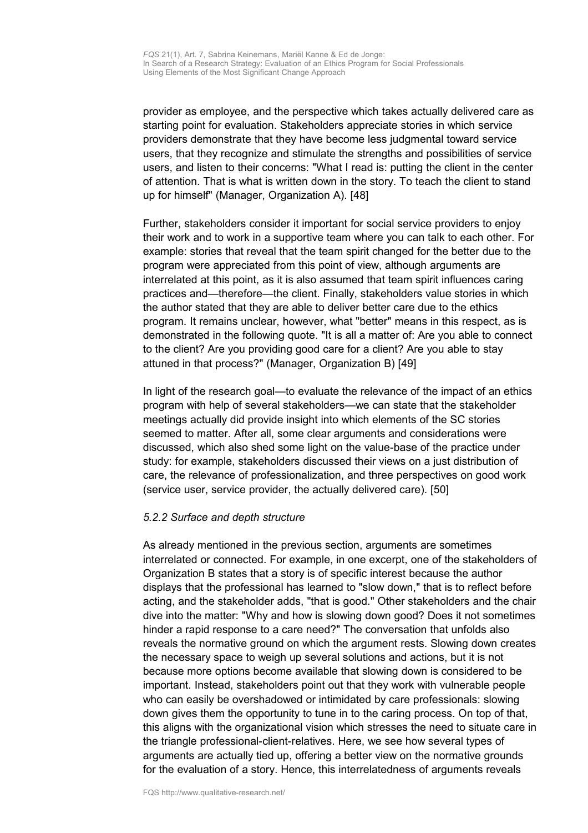provider as employee, and the perspective which takes actually delivered care as starting point for evaluation. Stakeholders appreciate stories in which service providers demonstrate that they have become less judgmental toward service users, that they recognize and stimulate the strengths and possibilities of service users, and listen to their concerns: "What I read is: putting the client in the center of attention. That is what is written down in the story. To teach the client to stand up for himself" (Manager, Organization A). [48]

Further, stakeholders consider it important for social service providers to enjoy their work and to work in a supportive team where you can talk to each other. For example: stories that reveal that the team spirit changed for the better due to the program were appreciated from this point of view, although arguments are interrelated at this point, as it is also assumed that team spirit influences caring practices and—therefore—the client. Finally, stakeholders value stories in which the author stated that they are able to deliver better care due to the ethics program. It remains unclear, however, what "better" means in this respect, as is demonstrated in the following quote. "It is all a matter of: Are you able to connect to the client? Are you providing good care for a client? Are you able to stay attuned in that process?" (Manager, Organization B) [49]

In light of the research goal—to evaluate the relevance of the impact of an ethics program with help of several stakeholders—we can state that the stakeholder meetings actually did provide insight into which elements of the SC stories seemed to matter. After all, some clear arguments and considerations were discussed, which also shed some light on the value-base of the practice under study: for example, stakeholders discussed their views on a just distribution of care, the relevance of professionalization, and three perspectives on good work (service user, service provider, the actually delivered care). [50]

#### *5.2.2 Surface and depth structure*

As already mentioned in the previous section, arguments are sometimes interrelated or connected. For example, in one excerpt, one of the stakeholders of Organization B states that a story is of specific interest because the author displays that the professional has learned to "slow down," that is to reflect before acting, and the stakeholder adds, "that is good." Other stakeholders and the chair dive into the matter: "Why and how is slowing down good? Does it not sometimes hinder a rapid response to a care need?" The conversation that unfolds also reveals the normative ground on which the argument rests. Slowing down creates the necessary space to weigh up several solutions and actions, but it is not because more options become available that slowing down is considered to be important. Instead, stakeholders point out that they work with vulnerable people who can easily be overshadowed or intimidated by care professionals: slowing down gives them the opportunity to tune in to the caring process. On top of that, this aligns with the organizational vision which stresses the need to situate care in the triangle professional-client-relatives. Here, we see how several types of arguments are actually tied up, offering a better view on the normative grounds for the evaluation of a story. Hence, this interrelatedness of arguments reveals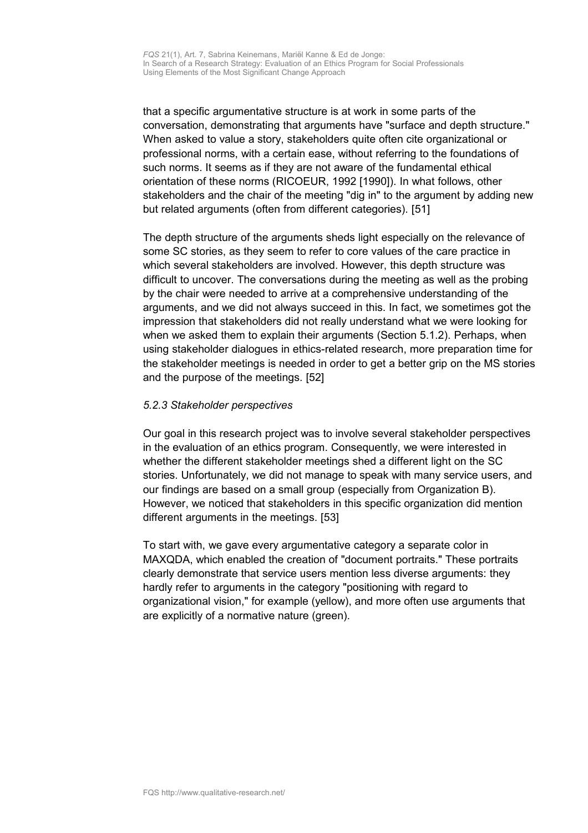that a specific argumentative structure is at work in some parts of the conversation, demonstrating that arguments have "surface and depth structure." When asked to value a story, stakeholders quite often cite organizational or professional norms, with a certain ease, without referring to the foundations of such norms. It seems as if they are not aware of the fundamental ethical orientation of these norms (RICOEUR, 1992 [1990]). In what follows, other stakeholders and the chair of the meeting "dig in" to the argument by adding new but related arguments (often from different categories). [51]

The depth structure of the arguments sheds light especially on the relevance of some SC stories, as they seem to refer to core values of the care practice in which several stakeholders are involved. However, this depth structure was difficult to uncover. The conversations during the meeting as well as the probing by the chair were needed to arrive at a comprehensive understanding of the arguments, and we did not always succeed in this. In fact, we sometimes got the impression that stakeholders did not really understand what we were looking for when we asked them to explain their arguments (Section 5.1.2). Perhaps, when using stakeholder dialogues in ethics-related research, more preparation time for the stakeholder meetings is needed in order to get a better grip on the MS stories and the purpose of the meetings. [52]

#### *5.2.3 Stakeholder perspectives*

Our goal in this research project was to involve several stakeholder perspectives in the evaluation of an ethics program. Consequently, we were interested in whether the different stakeholder meetings shed a different light on the SC stories. Unfortunately, we did not manage to speak with many service users, and our findings are based on a small group (especially from Organization B). However, we noticed that stakeholders in this specific organization did mention different arguments in the meetings. [53]

To start with, we gave every argumentative category a separate color in MAXQDA, which enabled the creation of "document portraits." These portraits clearly demonstrate that service users mention less diverse arguments: they hardly refer to arguments in the category "positioning with regard to organizational vision," for example (yellow), and more often use arguments that are explicitly of a normative nature (green).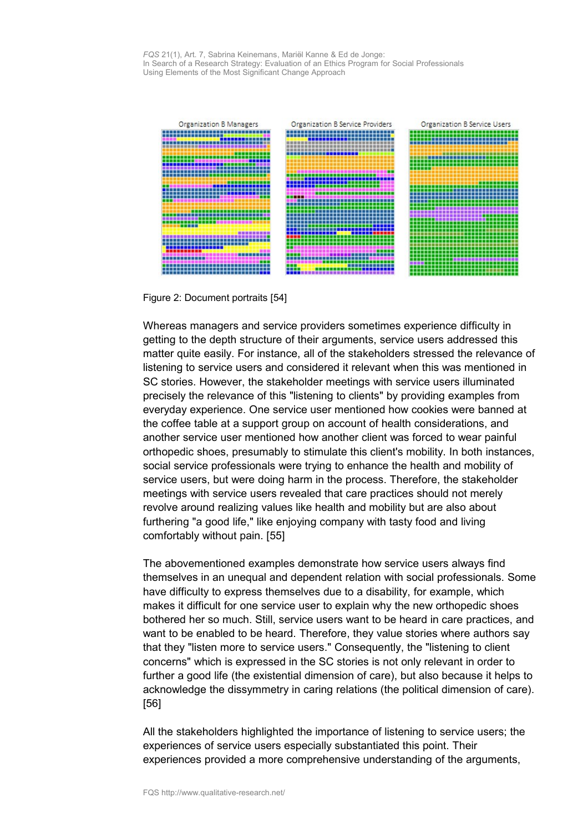

Figure 2: Document portraits [54]

Whereas managers and service providers sometimes experience difficulty in getting to the depth structure of their arguments, service users addressed this matter quite easily. For instance, all of the stakeholders stressed the relevance of listening to service users and considered it relevant when this was mentioned in SC stories. However, the stakeholder meetings with service users illuminated precisely the relevance of this "listening to clients" by providing examples from everyday experience. One service user mentioned how cookies were banned at the coffee table at a support group on account of health considerations, and another service user mentioned how another client was forced to wear painful orthopedic shoes, presumably to stimulate this client's mobility. In both instances, social service professionals were trying to enhance the health and mobility of service users, but were doing harm in the process. Therefore, the stakeholder meetings with service users revealed that care practices should not merely revolve around realizing values like health and mobility but are also about furthering "a good life," like enjoying company with tasty food and living comfortably without pain. [55]

The abovementioned examples demonstrate how service users always find themselves in an unequal and dependent relation with social professionals. Some have difficulty to express themselves due to a disability, for example, which makes it difficult for one service user to explain why the new orthopedic shoes bothered her so much. Still, service users want to be heard in care practices, and want to be enabled to be heard. Therefore, they value stories where authors say that they "listen more to service users." Consequently, the "listening to client concerns" which is expressed in the SC stories is not only relevant in order to further a good life (the existential dimension of care), but also because it helps to acknowledge the dissymmetry in caring relations (the political dimension of care). [56]

All the stakeholders highlighted the importance of listening to service users; the experiences of service users especially substantiated this point. Their experiences provided a more comprehensive understanding of the arguments,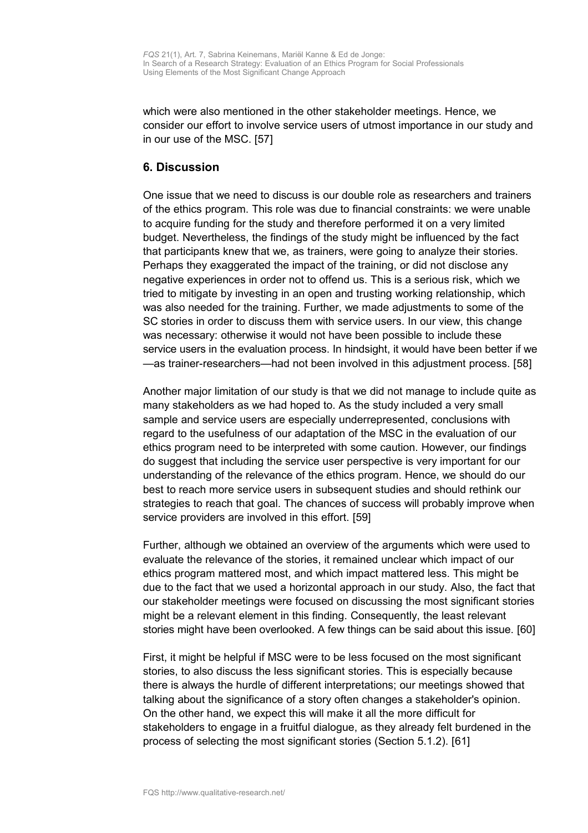which were also mentioned in the other stakeholder meetings. Hence, we consider our effort to involve service users of utmost importance in our study and in our use of the MSC. [57]

### <span id="page-19-0"></span>**6. Discussion**

One issue that we need to discuss is our double role as researchers and trainers of the ethics program. This role was due to financial constraints: we were unable to acquire funding for the study and therefore performed it on a very limited budget. Nevertheless, the findings of the study might be influenced by the fact that participants knew that we, as trainers, were going to analyze their stories. Perhaps they exaggerated the impact of the training, or did not disclose any negative experiences in order not to offend us. This is a serious risk, which we tried to mitigate by investing in an open and trusting working relationship, which was also needed for the training. Further, we made adjustments to some of the SC stories in order to discuss them with service users. In our view, this change was necessary: otherwise it would not have been possible to include these service users in the evaluation process. In hindsight, it would have been better if we —as trainer-researchers—had not been involved in this adjustment process. [58]

Another major limitation of our study is that we did not manage to include quite as many stakeholders as we had hoped to. As the study included a very small sample and service users are especially underrepresented, conclusions with regard to the usefulness of our adaptation of the MSC in the evaluation of our ethics program need to be interpreted with some caution. However, our findings do suggest that including the service user perspective is very important for our understanding of the relevance of the ethics program. Hence, we should do our best to reach more service users in subsequent studies and should rethink our strategies to reach that goal. The chances of success will probably improve when service providers are involved in this effort. [59]

Further, although we obtained an overview of the arguments which were used to evaluate the relevance of the stories, it remained unclear which impact of our ethics program mattered most, and which impact mattered less. This might be due to the fact that we used a horizontal approach in our study. Also, the fact that our stakeholder meetings were focused on discussing the most significant stories might be a relevant element in this finding. Consequently, the least relevant stories might have been overlooked. A few things can be said about this issue. [60]

First, it might be helpful if MSC were to be less focused on the most significant stories, to also discuss the less significant stories. This is especially because there is always the hurdle of different interpretations; our meetings showed that talking about the significance of a story often changes a stakeholder's opinion. On the other hand, we expect this will make it all the more difficult for stakeholders to engage in a fruitful dialogue, as they already felt burdened in the process of selecting the most significant stories (Section 5.1.2). [61]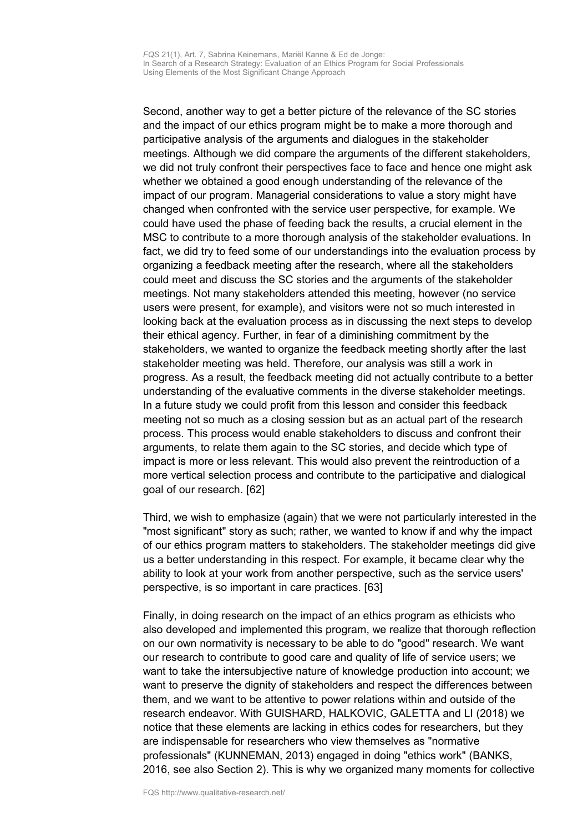Second, another way to get a better picture of the relevance of the SC stories and the impact of our ethics program might be to make a more thorough and participative analysis of the arguments and dialogues in the stakeholder meetings. Although we did compare the arguments of the different stakeholders, we did not truly confront their perspectives face to face and hence one might ask whether we obtained a good enough understanding of the relevance of the impact of our program. Managerial considerations to value a story might have changed when confronted with the service user perspective, for example. We could have used the phase of feeding back the results, a crucial element in the MSC to contribute to a more thorough analysis of the stakeholder evaluations. In fact, we did try to feed some of our understandings into the evaluation process by organizing a feedback meeting after the research, where all the stakeholders could meet and discuss the SC stories and the arguments of the stakeholder meetings. Not many stakeholders attended this meeting, however (no service users were present, for example), and visitors were not so much interested in looking back at the evaluation process as in discussing the next steps to develop their ethical agency. Further, in fear of a diminishing commitment by the stakeholders, we wanted to organize the feedback meeting shortly after the last stakeholder meeting was held. Therefore, our analysis was still a work in progress. As a result, the feedback meeting did not actually contribute to a better understanding of the evaluative comments in the diverse stakeholder meetings. In a future study we could profit from this lesson and consider this feedback meeting not so much as a closing session but as an actual part of the research process. This process would enable stakeholders to discuss and confront their arguments, to relate them again to the SC stories, and decide which type of impact is more or less relevant. This would also prevent the reintroduction of a more vertical selection process and contribute to the participative and dialogical goal of our research. [62]

Third, we wish to emphasize (again) that we were not particularly interested in the "most significant" story as such; rather, we wanted to know if and why the impact of our ethics program matters to stakeholders. The stakeholder meetings did give us a better understanding in this respect. For example, it became clear why the ability to look at your work from another perspective, such as the service users' perspective, is so important in care practices. [63]

Finally, in doing research on the impact of an ethics program as ethicists who also developed and implemented this program, we realize that thorough reflection on our own normativity is necessary to be able to do "good" research. We want our research to contribute to good care and quality of life of service users; we want to take the intersubjective nature of knowledge production into account; we want to preserve the dignity of stakeholders and respect the differences between them, and we want to be attentive to power relations within and outside of the research endeavor. With GUISHARD, HALKOVIC, GALETTA and LI (2018) we notice that these elements are lacking in ethics codes for researchers, but they are indispensable for researchers who view themselves as "normative professionals" (KUNNEMAN, 2013) engaged in doing "ethics work" (BANKS, 2016, see also Section 2). This is why we organized many moments for collective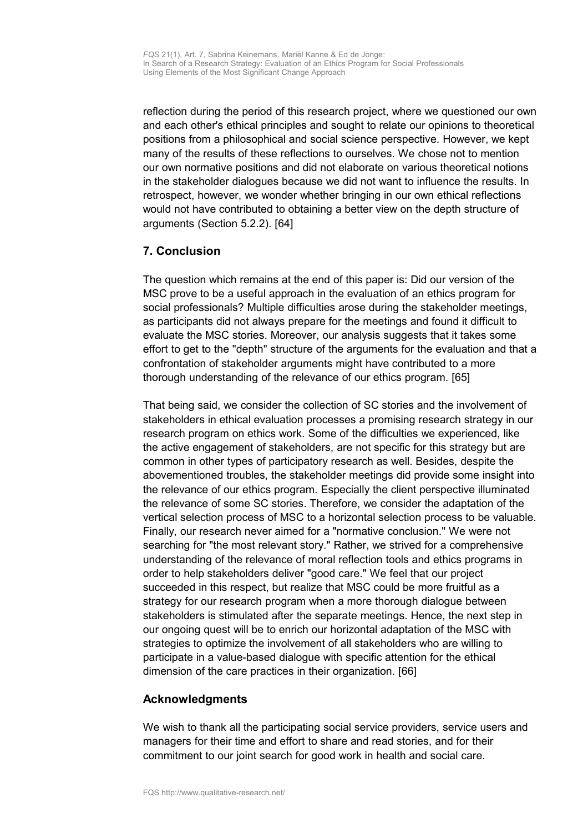reflection during the period of this research project, where we questioned our own and each other's ethical principles and sought to relate our opinions to theoretical positions from a philosophical and social science perspective. However, we kept many of the results of these reflections to ourselves. We chose not to mention our own normative positions and did not elaborate on various theoretical notions in the stakeholder dialogues because we did not want to influence the results. In retrospect, however, we wonder whether bringing in our own ethical reflections would not have contributed to obtaining a better view on the depth structure of arguments (Section 5.2.2). [64]

# <span id="page-21-1"></span>**7. Conclusion**

The question which remains at the end of this paper is: Did our version of the MSC prove to be a useful approach in the evaluation of an ethics program for social professionals? Multiple difficulties arose during the stakeholder meetings, as participants did not always prepare for the meetings and found it difficult to evaluate the MSC stories. Moreover, our analysis suggests that it takes some effort to get to the "depth" structure of the arguments for the evaluation and that a confrontation of stakeholder arguments might have contributed to a more thorough understanding of the relevance of our ethics program. [65]

That being said, we consider the collection of SC stories and the involvement of stakeholders in ethical evaluation processes a promising research strategy in our research program on ethics work. Some of the difficulties we experienced, like the active engagement of stakeholders, are not specific for this strategy but are common in other types of participatory research as well. Besides, despite the abovementioned troubles, the stakeholder meetings did provide some insight into the relevance of our ethics program. Especially the client perspective illuminated the relevance of some SC stories. Therefore, we consider the adaptation of the vertical selection process of MSC to a horizontal selection process to be valuable. Finally, our research never aimed for a "normative conclusion." We were not searching for "the most relevant story." Rather, we strived for a comprehensive understanding of the relevance of moral reflection tools and ethics programs in order to help stakeholders deliver "good care." We feel that our project succeeded in this respect, but realize that MSC could be more fruitful as a strategy for our research program when a more thorough dialogue between stakeholders is stimulated after the separate meetings. Hence, the next step in our ongoing quest will be to enrich our horizontal adaptation of the MSC with strategies to optimize the involvement of all stakeholders who are willing to participate in a value-based dialogue with specific attention for the ethical dimension of the care practices in their organization. [66]

# <span id="page-21-0"></span>**Acknowledgments**

We wish to thank all the participating social service providers, service users and managers for their time and effort to share and read stories, and for their commitment to our joint search for good work in health and social care.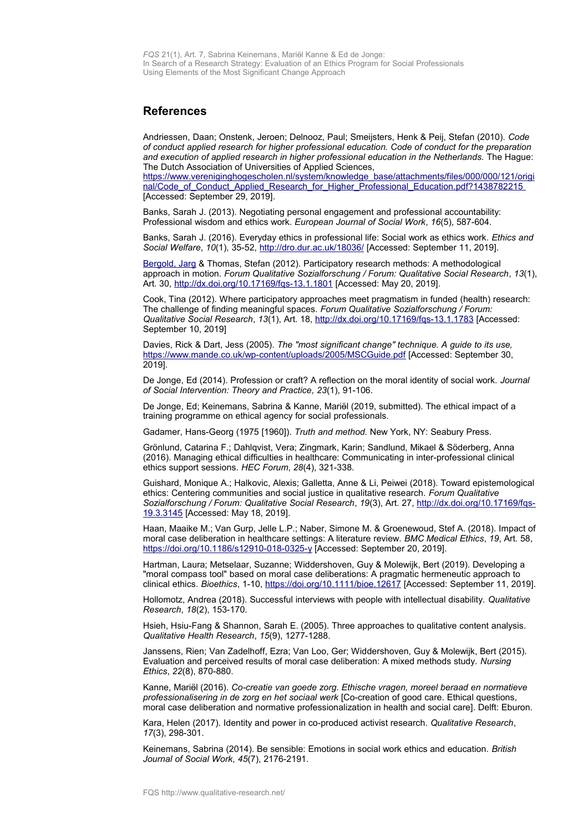*FQS* 21(1), Art. 7, Sabrina Keinemans, Mariӫl Kanne & Ed de Jonge: In Search of a Research Strategy: Evaluation of an Ethics Program for Social Professionals Using Elements of the Most Significant Change Approach

#### <span id="page-22-0"></span>**References**

Andriessen, Daan; Onstenk, Jeroen; Delnooz, Paul; Smeijsters, Henk & Peij, Stefan (2010). *Code of conduct applied research for higher professional education. Code of conduct for the preparation and execution of applied research in higher professional education in the Netherlands.* The Hague: The Dutch Association of Universities of Applied Sciences,

[https://www.vereniginghogescholen.nl/system/knowledge\\_base/attachments/files/000/000/121/origi](https://www.vereniginghogescholen.nl/system/knowledge_base/attachments/files/000/000/121/original/Code_of_Conduct_Applied_Research_for_Higher_Professional_Education.pdf?1438782215) [nal/Code\\_of\\_Conduct\\_Applied\\_Research\\_for\\_Higher\\_Professional\\_Education.pdf?1438782215](https://www.vereniginghogescholen.nl/system/knowledge_base/attachments/files/000/000/121/original/Code_of_Conduct_Applied_Research_for_Higher_Professional_Education.pdf?1438782215) [Accessed: September 29, 2019].

Banks, Sarah J. (2013). Negotiating personal engagement and professional accountability: Professional wisdom and ethics work. *European Journal of Social Work*, *16*(5), 587-604.

Banks, Sarah J. (2016). Everyday ethics in professional life: Social work as ethics work. *Ethics and Social Welfare*, *10*(1)*,* 35-52,<http://dro.dur.ac.uk/18036/>[Accessed: September 11, 2019].

[Bergold, Jarg](http://www.qualitative-research.net/index.php/fqs/about/editorialTeam) & Thomas, Stefan (2012). Participatory research methods: A methodological approach in motion. *Forum Qualitative Sozialforschung / Forum: Qualitative Social Research*, *13*(1), Art. 30,<http://dx.doi.org/10.17169/fqs-13.1.1801>[Accessed: May 20, 2019].

Cook, Tina (2012). Where participatory approaches meet pragmatism in funded (health) research: The challenge of finding meaningful spaces. *Forum Qualitative Sozialforschung / Forum: Qualitative Social Research*, *13*(1), Art. 18,<http://dx.doi.org/10.17169/fqs-13.1.1783>[Accessed: September 10, 2019]

Davies, Rick & Dart, Jess (2005). *The "most significant change" technique. A guide to its use,* <https://www.mande.co.uk/wp-content/uploads/2005/MSCGuide.pdf>[Accessed: September 30, 2019].

De Jonge, Ed (2014). Profession or craft? A reflection on the moral identity of social work. *Journal of Social Intervention: Theory and Practice, 23*(1), 91-106.

De Jonge, Ed; Keinemans, Sabrina & Kanne, Mariӫl (2019, submitted). The ethical impact of a training programme on ethical agency for social professionals.

Gadamer, Hans-Georg (1975 [1960]). *Truth and method.* New York, NY: Seabury Press.

Grönlund, Catarina F.; Dahlqvist, Vera; Zingmark, Karin; Sandlund, Mikael & Söderberg, Anna (2016). Managing ethical difficulties in healthcare: Communicating in inter-professional clinical ethics support sessions. *HEC Forum*, *28*(4), 321-338.

Guishard, Monique A.; Halkovic, Alexis; Galletta, Anne & Li, Peiwei (2018). Toward epistemological ethics: Centering communities and social justice in qualitative research. *Forum Qualitative Sozialforschung / Forum: Qualitative Social Research*, *19*(3), Art. 27, [http://dx.doi.org/10.17169/fqs-](http://dx.doi.org/10.17169/fqs-19.3.3145)[19.3.3145](http://dx.doi.org/10.17169/fqs-19.3.3145) [Accessed: May 18, 2019].

Haan, Maaike M.; Van Gurp, Jelle L.P.; Naber, Simone M. & Groenewoud, Stef A. (2018). Impact of moral case deliberation in healthcare settings: A literature review. *BMC Medical Ethics*, *19*, Art. 58, <https://doi.org/10.1186/s12910-018-0325-y>[Accessed: September 20, 2019].

Hartman, Laura; Metselaar, Suzanne; Widdershoven, Guy & Molewijk, Bert (2019). Developing a "moral compass tool" based on moral case deliberations: A pragmatic hermeneutic approach to clinical ethics. *Bioethics*, 1-10,<https://doi.org/10.1111/bioe.12617>[Accessed: September 11, 2019].

Hollomotz, Andrea (2018). Successful interviews with people with intellectual disability. *Qualitative Research*, *18*(2), 153-170.

Hsieh, Hsiu-Fang & Shannon, Sarah E. (2005). Three approaches to qualitative content analysis. *Qualitative Health Research*, *15*(9), 1277-1288.

Janssens, Rien; Van Zadelhoff, Ezra; Van Loo, Ger; Widdershoven, Guy & Molewijk, Bert (2015). Evaluation and perceived results of moral case deliberation: A mixed methods study. *Nursing Ethics*, *22*(8), 870-880.

Kanne, Mariӫl (2016). *Co-creatie van goede zorg. Ethische vragen, moreel beraad en normatieve professionalisering in de zorg en het sociaal werk* [Co-creation of good care. Ethical questions, moral case deliberation and normative professionalization in health and social care]. Delft: Eburon.

Kara, Helen (2017). Identity and power in co-produced activist research. *Qualitative Research*, *17*(3), 298-301.

Keinemans, Sabrina (2014). Be sensible: Emotions in social work ethics and education. *British Journal of Social Work, 45*(7), 2176-2191.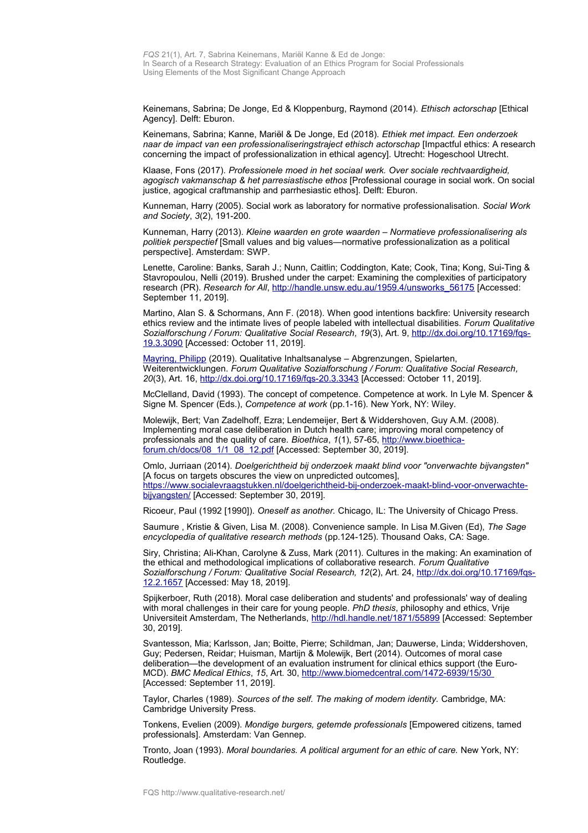Keinemans, Sabrina; De Jonge, Ed & Kloppenburg, Raymond (2014). *Ethisch actorschap* [Ethical Agency]. Delft: Eburon.

Keinemans, Sabrina; Kanne, Mariӫl & De Jonge, Ed (2018). *Ethiek met impact. Een onderzoek naar de impact van een professionaliseringstraject ethisch actorschap* [Impactful ethics: A research concerning the impact of professionalization in ethical agency]. Utrecht: Hogeschool Utrecht.

Klaase, Fons (2017). *Professionele moed in het sociaal werk. Over sociale rechtvaardigheid, agogisch vakmanschap & het parresiastische ethos* [Professional courage in social work. On social justice, agogical craftmanship and parrhesiastic ethos]. Delft: Eburon.

Kunneman, Harry (2005). Social work as laboratory for normative professionalisation. *Social Work and Society*, *3*(2), 191-200.

Kunneman, Harry (2013). *Kleine waarden en grote waarden* – *Normatieve professionalisering als politiek perspectief* [Small values and big values—normative professionalization as a political perspective]. Amsterdam: SWP.

Lenette, Caroline: Banks, Sarah J.; Nunn, Caitlin; Coddington, Kate; Cook, Tina; Kong, Sui-Ting & Stavropoulou, Nelli (2019). Brushed under the carpet: Examining the complexities of participatory research (PR). *Research for All*, [http://handle.unsw.edu.au/1959.4/unsworks\\_56175](http://handle.unsw.edu.au/1959.4/unsworks_56175) [Accessed: September 11, 2019].

Martino, Alan S. & Schormans, Ann F. (2018). When good intentions backfire: University research ethics review and the intimate lives of people labeled with intellectual disabilities. *Forum Qualitative Sozialforschung / Forum: Qualitative Social Research, 19*(3), Art. 9, [http://dx.doi.org/10.17169/fqs-](http://dx.doi.org/10.17169/fqs-19.3.3090)[19.3.3090](http://dx.doi.org/10.17169/fqs-19.3.3090) [Accessed: October 11, 2019].

[Mayring, Philipp](http://www.qualitative-research.net/index.php/fqs/about/displayMembership/2) (2019). Qualitative Inhaltsanalyse – Abgrenzungen, Spielarten, Weiterentwicklungen. *Forum Qualitative Sozialforschung / Forum: Qualitative Social Research, 20*(3), Art. 16,<http://dx.doi.org/10.17169/fqs-20.3.3343>[Accessed: October 11, 2019].

McClelland, David (1993). The concept of competence. Competence at work. In Lyle M. Spencer & Signe M. Spencer (Eds.), *Competence at work* (pp.1-16). New York, NY: Wiley.

Molewijk, Bert; Van Zadelhoff, Ezra; Lendemeijer, Bert & Widdershoven, Guy A.M. (2008). Implementing moral case deliberation in Dutch health care; improving moral competency of professionals and the quality of care. *Bioethica*, *1*(1), 57-65, [http://www.bioethica](http://www.bioethica-forum.ch/docs/08_1/1_08_12.pdf)[forum.ch/docs/08\\_1/1\\_08\\_12.pdf](http://www.bioethica-forum.ch/docs/08_1/1_08_12.pdf) [Accessed: September 30, 2019].

Omlo, Jurriaan (2014). *Doelgerichtheid bij onderzoek maakt blind voor "onverwachte bijvangsten"* [A focus on targets obscures the view on unpredicted outcomes]. [https://www.socialevraagstukken.nl/doelgerichtheid-bij-onderzoek-maakt-blind-voor-onverwachte](https://www.socialevraagstukken.nl/doelgerichtheid-bij-onderzoek-maakt-blind-voor-onverwachte-bijvangsten/)[bijvangsten/](https://www.socialevraagstukken.nl/doelgerichtheid-bij-onderzoek-maakt-blind-voor-onverwachte-bijvangsten/) [Accessed: September 30, 2019].

Ricoeur, Paul (1992 [1990]). *Oneself as another.* Chicago, IL: The University of Chicago Press.

Saumure , Kristie & Given, Lisa M. (2008). Convenience sample. In Lisa M.Given (Ed), *The Sage encyclopedia of qualitative research methods* (pp.124-125). Thousand Oaks, CA: Sage.

Siry, Christina; Ali-Khan, Carolyne & Zuss, Mark (2011). Cultures in the making: An examination of the ethical and methodological implications of collaborative research. *Forum Qualitative Sozialforschung / Forum: Qualitative Social Research, 12*(2), Art. 24, [http://dx.doi.org/10.17169/fqs-](http://dx.doi.org/10.17169/fqs-12.2.1657)[12.2.1657](http://dx.doi.org/10.17169/fqs-12.2.1657) [Accessed: May 18, 2019].

Spijkerboer, Ruth (2018). Moral case deliberation and students' and professionals' way of dealing with moral challenges in their care for young people*. PhD thesis*, philosophy and ethics, Vrije Universiteit Amsterdam, The Netherlands,<http://hdl.handle.net/1871/55899>[Accessed: September 30, 2019].

Svantesson, Mia; Karlsson, Jan; Boitte, Pierre; Schildman, Jan; Dauwerse, Linda; Widdershoven, Guy; Pedersen, Reidar; Huisman, Martijn & Molewijk, Bert (2014). Outcomes of moral case deliberation—the development of an evaluation instrument for clinical ethics support (the Euro-MCD). *BMC Medical Ethics*, *15*, Art. 30,<http://www.biomedcentral.com/1472-6939/15/30> [Accessed: September 11, 2019].

Taylor, Charles (1989). *Sources of the self. The making of modern identity.* Cambridge, MA: Cambridge University Press.

Tonkens, Evelien (2009). *Mondige burgers, getemde professionals* [Empowered citizens, tamed professionals]. Amsterdam: Van Gennep.

Tronto, Joan (1993). *Moral boundaries. A political argument for an ethic of care.* New York, NY: Routledge.